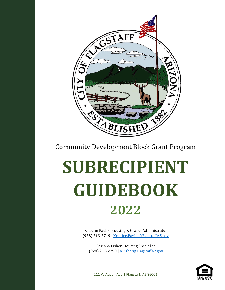

Community Development Block Grant Program

# **SUBRECIPIENT GUIDEBOOK 2022**

Kristine Pavlik, Housing & Grants Administrator (928) 213-2749 [| Kristine.Pavlik@FlagstaffAZ.gov](mailto:Kristine.Pavlik@FlagstaffAZ.gov)

Adriana Fisher, Housing Specialist (928) 213-2750 | [AFisher@FlagstaffAZ.gov](mailto:AFisher@FlagstaffAZ.gov)



211 W Aspen Ave | Flagstaff, AZ 86001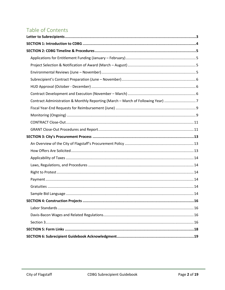# Table of Contents

| Contract Administration & Monthly Reporting (March - March of Following Year) 7 |
|---------------------------------------------------------------------------------|
|                                                                                 |
|                                                                                 |
|                                                                                 |
|                                                                                 |
|                                                                                 |
|                                                                                 |
|                                                                                 |
|                                                                                 |
|                                                                                 |
|                                                                                 |
|                                                                                 |
|                                                                                 |
|                                                                                 |
|                                                                                 |
|                                                                                 |
|                                                                                 |
|                                                                                 |
|                                                                                 |
|                                                                                 |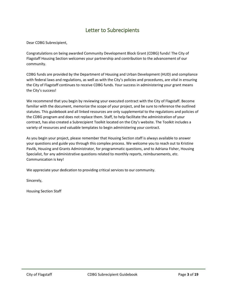# Letter to Subrecipients

<span id="page-2-0"></span>Dear CDBG Subrecipient,

Congratulations on being awarded Community Development Block Grant (CDBG) funds! The City of Flagstaff Housing Section welcomes your partnership and contribution to the advancement of our community.

CDBG funds are provided by the Department of Housing and Urban Development (HUD) and compliance with federal laws and regulations, as well as with the City's policies and procedures, are vital in ensuring the City of Flagstaff continues to receive CDBG funds. Your success in administering your grant means the City's success!

We recommend that you begin by reviewing your executed contract with the City of Flagstaff. Become familiar with the document, memorize the scope of your project, and be sure to reference the outlined statutes. This guidebook and all linked resources are only supplemental to the regulations and policies of the CDBG program and does not replace them. Staff, to help facilitate the administration of your contract, has also created a Subrecipient Toolkit located on the City's website. The Toolkit includes a variety of resources and valuable templates to begin administering your contract.

As you begin your project, please remember that Housing Section staff is always available to answer your questions and guide you through this complex process. We welcome you to reach out to Kristine Pavlik, Housing and Grants Administrator, for programmatic questions, and to Adriana Fisher, Housing Specialist, for any administrative questions related to monthly reports, reimbursements, etc. Communication is key!

We appreciate your dedication to providing critical services to our community.

Sincerely,

Housing Section Staff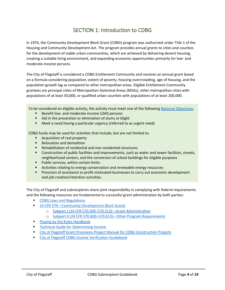# SECTION 1: Introduction to CDBG

<span id="page-3-0"></span>In 1974, the Community Development Block Grant (CDBG) program was authorized under Title 1 of the Housing and Community Development Act. The program provides annual grants to cities and counties for the development of viable urban communities, which are achieved by delivering decent housing, creating a suitable living environment, and expanding economic opportunities primarily for low- and moderate-income persons.

The City of Flagstaff is considered a CDBG Entitlement Community and receives an annual grant based on a formula considering population, extent of poverty, housing overcrowding, age of housing, and the population growth lag as compared to other metropolitan areas. Eligible Entitlement Community grantees are principal cities of Metropolitan Statistical Areas (MSAs), other metropolitan cities with populations of at least 50,000, or qualified urban counties with populations of at least 200,000.

To be considered an eligible activity, the activity must meet one of the following [National Objectives:](https://www.hudexchange.info/sites/onecpd/assets/File/CDBG-National-Objectives-Eligible-Activities-Chapter-3.pdf)

- Benefit low- and moderate-income (LMI) persons
- Aid in the prevention or elimination of slums or blight
- Meet a need having a particular urgency (referred to as urgent need)

CDBG funds may be used for activities that include, but are not limited to:

- Acquisition of real property
- Relocation and demolition
- Rehabilitation of residential and non-residential structures
- Construction of public facilities and improvements, such as water and sewer facilities, streets, neighborhood centers, and the conversion of school buildings for eligible purposes
- Public services, within certain limits
- Activities relating to energy conservation and renewable energy resources
- Provision of assistance to profit-motivated businesses to carry out economic development and job creation/retention activities.

The City of Flagstaff and subrecipients share joint responsibility in complying with federal requirements and the following resources are fundamental to successful grant administration by both parties:

- **[CDBG Laws and Regulations](https://www.hudexchange.info/programs/cdbg/cdbg-laws-and-regulations/)**
- 24 CFR 570–[Community Development Block Grants](https://www.ecfr.gov/cgi-bin/retrieveECFR?gp=&SID=1a1bc3cd26711f951faf911424a45998&mc=true&n=pt24.3.570&r=PART&ty=HTML)
	- o [Subpart J \(24 CFR 570.500](https://www.ecfr.gov/current/title-24/subtitle-B/chapter-V/subchapter-C/part-570/subpart-J)–570.513)—Grant Administration
	- o Subpart K (24 CFR 570.600–570.613)—[Other Program Requirements](https://www.ecfr.gov/current/title-24/part-570/subpart-K)
- **Playing by the Rules Handbook**
- **EXECUTE: The [Technical Guide for Determining Income](https://files.hudexchange.info/resources/documents/HOMEGuideForIncomeAndAllowances.pdf)**
- **EXECT:** [City of Flagstaff Grant Provisions Project Manual for CDBG Construction Projects](https://www.flagstaff.az.gov/4724/Subrecipient-Toolbox)
- [City of Flagstaff CDBG Income Verification Guidebook](https://www.flagstaff.az.gov/4724/Subrecipient-Toolbox)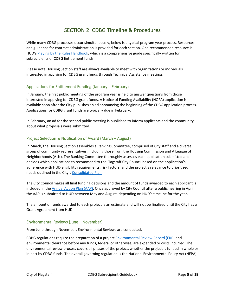# SECTION 2: CDBG Timeline & Procedures

<span id="page-4-0"></span>While many CDBG processes occur simultaneously, below is a typical program year process. Resources and guidance for contract administration is provided for each section. One recommended resource is HUD's [Playing by the Rules Handbook,](https://www.hudexchange.info/resource/687/playing-by-the-rules-a-handbook-for-cdbg-subrecipients-on-administrative-systems/?utm_source=HUD+Exchange+Mailing+List&utm_campaign=6f32fd1ec5-PLAY_BY_RULES_HANDBOOK_UPDATE_RELEASE_22%2F2%2F16&utm_medium=email&utm_term=0_f32b935a5f-6f32fd1ec5-19536317) which is a comprehensive guide specifically written for subrecipients of CDBG Entitlement funds.

Please note Housing Section staff are always available to meet with organizations or individuals interested in applying for CDBG grant funds through Technical Assistance meetings.

## <span id="page-4-1"></span>Applications for Entitlement Funding (January – February)

In January, the first public meeting of the program year is held to answer questions from those interested in applying for CDBG grant funds. A Notice of Funding Availability (NOFA) application is available soon after the City publishes an ad announcing the beginning of the CDBG application process. Applications for CDBG grant funds are typically due in February.

In February, an ad for the second public meeting is published to inform applicants and the community about what proposals were submitted.

## <span id="page-4-2"></span>Project Selection & Notification of Award (March – August)

In March, the Housing Section assembles a Ranking Committee, comprised of City staff and a diverse group of community representatives, including those from the Housing Commission and A League of Neighborhoods (ALN). The Ranking Committee thoroughly assesses each application submitted and decides which applications to recommend to the Flagstaff City Council based on the application's adherence with HUD eligibility requirements, risk factors, and the project's relevance to prioritized needs outlined in the City's [Consolidated Plan.](https://www.flagstaff.az.gov/DocumentCenter/View/70511/City-of-Flagstaff-2021-2025-Consolidated-Plan-and-2021-Annual-Action-Plan?bidId=)

The City Council makes all final funding decisions and the amount of funds awarded to each applicant is included in the [Annual Action Plan \(AAP\).](https://www.flagstaff.az.gov/626/Community-Development-Block-Grants) Once approved by City Council after a public hearing in April, the AAP is submitted to HUD between May and August, depending on HUD's timeline for the year.

The amount of funds awarded to each project is an estimate and will not be finalized until the City has a Grant Agreement from HUD.

## <span id="page-4-3"></span>Environmental Reviews (June – November)

From June through November, Environmental Reviews are conducted.

CDBG regulations require the preparation of a projec[t Environmental Review Record \(ERR\)](https://www.hudexchange.info/programs/environmental-review/orientation-to-environmental-reviews/#overview) and environmental clearance before any funds, federal or otherwise, are expended or costs incurred. The environmental review process covers all phases of the project, whether the project is funded in whole or in part by CDBG funds. The overall governing regulation is the National Environmental Policy Act (NEPA).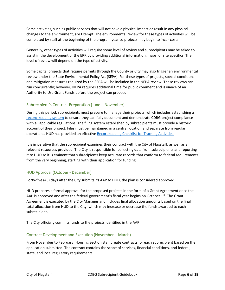Some activities, such as public services that will not have a physical impact or result in any physical changes to the environment, are Exempt. The environmental review for these types of activities will be completed by staff at the beginning of the program year so projects may begin to incur costs.

Generally, other types of activities will require some level of review and subrecipients may be asked to assist in the development of the ERR by providing additional information, maps, or site specifics. The level of review will depend on the type of activity.

Some capital projects that require permits through the County or City may also trigger an environmental review under the State Environmental Policy Act (SEPA). For these types of projects, special conditions and mitigation measures required by the SEPA will be included in the NEPA review. These reviews can run concurrently; however, NEPA requires additional time for public comment and issuance of an Authority to Use Grant Funds before the project can proceed.

# <span id="page-5-0"></span>Subrecipient's Contract Preparation (June – November)

During this period, subrecipients must prepare to manage their projects, which includes establishing a [record-keeping system](https://www.hudexchange.info/sites/onecpd/assets/File/Playing-by-the-Rules-Handbook-CDBG-Subrecipients-Administrative-Systems-Chapter-5.pdf) to ensure they can fully document and demonstrate CDBG project compliance with all applicable regulations. The filing system established by subrecipients must provide a historic account of their project. Files must be maintained in a central location and separate from regular operations. HUD has provided an effective [Recordkeeping Checklist for Tracking Activities.](https://www.hudexchange.info/sites/onecpd/assets/File/Playing-by-the-Rules-Handbook-CDBG-Subrecipients-Administrative-Systems-Chapter-5-Checklist.pdf)

It is imperative that the subrecipient examines their contract with the City of Flagstaff, as well as all relevant resources provided. The City is responsible for collecting data from subrecipients and reporting it to HUD so it is eminent that subrecipients keep accurate records that conform to federal requirements from the very beginning, starting with their application for funding.

# <span id="page-5-1"></span>HUD Approval (October - December)

Forty-five (45) days after the City submits its AAP to HUD, the plan is considered approved.

HUD prepares a formal approval for the proposed projects in the form of a Grant Agreement once the AAP is approved and after the federal government's fiscal year begins on October  $1<sup>st</sup>$ . The Grant Agreement is executed by the City Manager and includes final allocation amounts based on the final total allocation from HUD to the City, which may increase or decrease the funds awarded to each subrecipient.

<span id="page-5-2"></span>The City officially commits funds to the projects identified in the AAP.

# Contract Development and Execution (November – March)

From November to February, Housing Section staff create contracts for each subrecipient based on the application submitted. The contract contains the scope of services, financial conditions, and federal, state, and local regulatory requirements.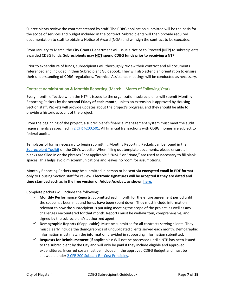Subrecipients review the contract created by staff. The CDBG application submitted will be the basis for the scope of services and budget included in the contract. Subrecipients will then provide required documentation to staff to obtain a Notice of Award (NOA) and will sign the contract to be executed.

From January to March, the City Grants Department will issue a Notice to Proceed (NTP) to subrecipients awarded CDBG funds. **Subrecipients may NOT spend CDBG funds prior to receiving a NTP**.

Prior to expenditure of funds, subrecipients will thoroughly review their contract and all documents referenced and included in their Subrecipient Guidebook. They will also attend an orientation to ensure their understanding of CDBG regulations. Technical Assistance meetings will be conducted as necessary.

# <span id="page-6-0"></span>Contract Administration & Monthly Reporting (March – March of Following Year)

Every month, effective when the NTP is issued to the organization, subrecipients will submit Monthly Reporting Packets by the **second Friday of each month**, unless an extension is approved by Housing Section staff. Packets will provide updates about the project's progress, and they should be able to provide a historic account of the project.

From the beginning of the project, a subrecipient's financial management system must meet the audit requirements as specified in [2 CFR §200.501.](https://www.law.cornell.edu/cfr/text/2/200.501) All financial transactions with CDBG monies are subject to federal audits.

Templates of forms necessary to begin submitting Monthly Reporting Packets can be found in the [Subrecipient Toolkit](https://www.flagstaff.az.gov/4724/Subrecipient-Toolbox) on the City's website. When filling out template documents, please ensure all blanks are filled in or the phrases "not applicable," "N/A," or "None," are used as necessary to fill blank spaces. This helps avoid miscommunications and leaves no room for assumptions.

Monthly Reporting Packets may be submitted in person or be sent via **encrypted email in PDF format only** to Housing Section staff for review. **Electronic signatures will be accepted if they are dated and time stamped such as in the free version of Adobe Acrobat, as shown [here.](http://graduate.umsl.edu/files/pdfs/digitalid.pdf)**

Complete packets will include the following:

- ✓ **Monthly Performance Reports**: Submitted each month for the entire agreement period until the scope has been met and funds have been spent down. They must include information relevant to how the subrecipient is pursuing meeting the scope of the project, as well as any challenges encountered for that month. Reports must be well-written, comprehensive, and signed by the subrecipient's authorized agent.
- ✓ **Demographic Reports** (if applicable): Must be submitted for all contracts serving clients. They must clearly include the demographics of unduplicated clients served each month. Demographic information must match the information provided in supporting information submitted.
- ✓ **Requests for Reimbursement** (if applicable): Will not be processed until a NTP has been issued to the subrecipient by the City and will only be paid if they include eligible and approved expenditures. Incurred costs must be included in the approved CDBG Budget and must be allowable unde[r 2 CFR 200 Subpart E](https://www.ecfr.gov/current/title-2/part-200/subpart-E) – Cost Principles.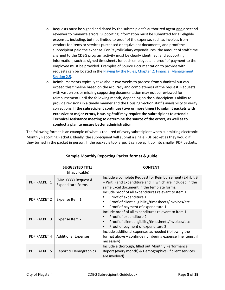- $\circ$  Requests must be signed and dated by the subrecipient's authorized agent and a second reviewer to minimize errors. Supporting information must be submitted for all eligible expenses, including, but not limited to proof of the expense, such as invoices from vendors for items or services purchased or equivalent documents, and proof the subrecipient paid the expense. For Payroll/Salary expenditures, the amount of staff time charged to the CDBG program activity must be clearly identified, and supporting information, such as signed timesheets for each employee and proof of payment to the employee must be provided. Examples of Source Documentation to provide with requests can be located in the [Playing by the Rules, Chapter 2: Financial Management,](https://www.hudexchange.info/sites/onecpd/assets/File/Playing-by-the-Rules-Handbook-CDBG-Subrecipients-Administrative-Systems-Chapter-2.pdf)  [Section 2.5.](https://www.hudexchange.info/sites/onecpd/assets/File/Playing-by-the-Rules-Handbook-CDBG-Subrecipients-Administrative-Systems-Chapter-2.pdf)
- $\circ$  Reimbursements typically take about two weeks to process from submittal but can exceed this timeline based on the accuracy and completeness of the request. Requests with vast errors or missing supporting documentation may not be reviewed for reimbursement until the following month, depending on the subrecipient's ability to provide revisions in a timely manner and the Housing Section staff's availability to verify corrections. **If the subrecipient continues (two or more times) to submit packets with excessive or major errors, Housing Staff may require the subrecipient to attend a Technical Assistance meeting to determine the source of the errors, as well as to conduct a plan to ensure better administration.**

The following format is an example of what is required of every subrecipient when submitting electronic Monthly Reporting Packets. Ideally, the subrecipient will submit a single PDF packet as they would if they turned in the packet in person. If the packet is too large, it can be split up into smaller PDF packets.

|                     | <b>SUGGESTED TITLE</b><br>(if applicable)       | <b>CONTENT</b>                                                                                                                                                               |
|---------------------|-------------------------------------------------|------------------------------------------------------------------------------------------------------------------------------------------------------------------------------|
| PDF PACKET 1        | (MM.YYYY) Request &<br><b>Expenditure Forms</b> | Include a complete Request for Reimbursement (Exhibit B<br>- Part I) and Expenditure and II, which are included in the<br>same Excel document in the template forms.         |
| PDF PACKET 2        | Expense Item 1                                  | Include proof of all expenditures relevant to item 1:<br>Proof of expenditure 1<br>Proof of client eligibility/timesheets/invoices/etc.<br>Proof of payment of expenditure 1 |
| <b>PDF PACKET 3</b> | Expense Item 2                                  | Include proof of all expenditures relevant to item 1:<br>Proof of expenditure 2<br>Proof of client eligibility/timesheets/invoices/etc.<br>Proof of payment of expenditure 2 |
| PDF PACKET 4        | <b>Additional Expenses</b>                      | Include additional expenses as needed (following the<br>format above – continue numbering expense line items, if<br>necessary)                                               |
| <b>PDF PACKET 5</b> | Report & Demographics                           | Include a thorough, filled out Monthly Performance<br>Report (every month) & Demographics (if client services<br>are involved)                                               |

# **Sample Monthly Reporting Packet format & guide:**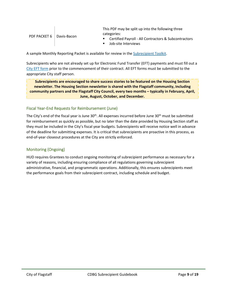| PDF PACKET 6   Davis-Bacon |  | This PDF may be split up into the following three      |
|----------------------------|--|--------------------------------------------------------|
|                            |  | categories:                                            |
|                            |  | ■ Certified Payroll - All Contractors & Subcontractors |
|                            |  | Job-site Interviews                                    |

A sample Monthly Reporting Packet is available for review in th[e Subrecipient Toolkit.](https://www.flagstaff.az.gov/4724/Subrecipient-Toolbox)

Subrecipients who are not already set up for Electronic Fund Transfer (EFT) payments and must fill out a [City EFT form](https://www.flagstaff.az.gov/DocumentCenter/View/71423/Accounts-Payble-EFT-Form-020322) prior to the commencement of their contract. All EFT forms must be submitted to the appropriate City staff person.

**Subrecipients are encouraged to share success stories to be featured on the Housing Section newsletter. The Housing Section newsletter is shared with the Flagstaff community, including community partners and the Flagstaff City Council, every two months – typically in February, April, June, August, October, and December.**

## <span id="page-8-0"></span>Fiscal Year-End Requests for Reimbursement (June)

The City's end of the fiscal year is June  $30<sup>th</sup>$ . All expenses incurred before June  $30<sup>th</sup>$  must be submitted for reimbursement as quickly as possible, but no later than the date provided by Housing Section staff as they must be included in the City's fiscal year budgets. Subrecipients will receive notice well in advance of the deadline for submitting expenses. It is critical that subrecipients are proactive in this process, as end-of-year closeout procedures at the City are strictly enforced.

# <span id="page-8-1"></span>Monitoring (Ongoing)

 $\mathbf{I}$ 

HUD requires Grantees to conduct ongoing monitoring of subrecipient performance as necessary for a variety of reasons, including ensuring compliance of all regulations governing subrecipient administrative, financial, and programmatic operations. Additionally, this ensures subrecipients meet the performance goals from their subrecipient contract, including schedule and budget.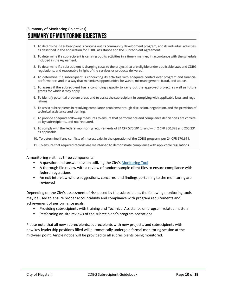# SUMMARY OF MONITORING OBJECTIVES

- 1. To determine if a subrecipient is carrying out its community development program, and its individual activities, as described in the application for CDBG assistance and the Subrecipient Agreement.
- 2. To determine if a subrecipient is carrying out its activities in a timely manner, in accordance with the schedule included in the Agreement.
- 3. To determine if a subrecipient is charging costs to the project that are eligible under applicable laws and CDBG regulations, and reasonable in light of the services or products delivered.
- 4. To determine if a subrecipient is conducting its activities with adequate control over program and financial performance, and in a way that minimizes opportunities for waste, mismanagement, fraud, and abuse.
- 5. To assess if the subrecipient has a continuing capacity to carry out the approved project, as well as future grants for which it may apply.
- 6. To identify potential problem areas and to assist the subrecipient in complying with applicable laws and regulations.
- 7. To assist subrecipients in resolving compliance problems through discussion, negotiation, and the provision of technical assistance and training.
- 8. To provide adequate follow-up measures to ensure that performance and compliance deficiencies are corrected by subrecipients, and not repeated.
- 9. To comply with the Federal monitoring requirements of 24 CFR 570.501(b) and with 2 CFR 200.328 and 200.331, as applicable.
- 10. To determine if any conflicts of interest exist in the operation of the CDBG program, per 24 CFR 570.611.
- 11. To ensure that required records are maintained to demonstrate compliance with applicable regulations.

A monitoring visit has three components:

- A question-and-answer session utilizing the City's [Monitoring Tool](https://www.flagstaff.az.gov/4724/Subrecipient-Toolbox)
- A thorough file review with a review of random sample client files to ensure compliance with federal regulations
- **•** An exit interview where suggestions, concerns, and findings pertaining to the monitoring are reviewed

Depending on the City's assessment of risk posed by the subrecipient, the following monitoring tools may be used to ensure proper accountability and compliance with program requirements and achievement of performance goals:

- Providing subrecipients with training and Technical Assistance on program-related matters
- Performing on-site reviews of the subrecipient's program operations

Please note that all new subrecipients, subrecipients with new projects, and subrecipients with new key leadership positions filled will automatically undergo a formal monitoring session at the mid-year point. Ample notice will be provided to all subrecipients being monitored.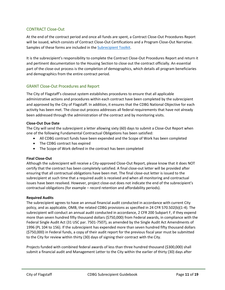## <span id="page-10-0"></span>CONTRACT Close-Out

At the end of the contract period and once all funds are spent, a Contract Close-Out Procedures Report will be issued, which consists of Contract Close-Out Certifications and a Program Close-Out Narrative. Samples of these forms are included in the [Subrecipient Toolkit.](https://www.flagstaff.az.gov/4724/Subrecipient-Toolbox)

It is the subrecipient's responsibility to complete the Contract Close-Out Procedures Report and return it and pertinent documentation to the Housing Section to close out the contract officially. An essential part of the close-out process is the completion of demographics, which details all program beneficiaries and demographics from the entire contract period.

## <span id="page-10-1"></span>GRANT Close-Out Procedures and Report

The City of Flagstaff's closeout system establishes procedures to ensure that all applicable administrative actions and procedures within each contract have been completed by the subrecipient and approved by the City of Flagstaff. In addition, it ensures that the CDBG National Objective for each activity has been met. The close-out process addresses all federal requirements that have not already been addressed through the administration of the contract and by monitoring visits.

#### **Close-Out Due Date**

The City will send the subrecipient a letter allowing sixty (60) days to submit a Close-Out Report when one of the following Fundamental Contractual Obligations has been satisfied:

- All CDBG contract funds have been expended and the Scope of Work has been completed
- The CDBG contract has expired
- The Scope of Work defined in the contract has been completed

#### **Final Close-Out**

Although the subrecipient will receive a City-approved Close-Out Report, please know that it does NOT certify that the contract has been completely satisfied. A final close-out letter will be provided after ensuring that all contractual obligations have been met. The final close-out letter is issued to the subrecipient at such time that a required audit is received and when all monitoring and contractual issues have been resolved. However, project close-out does not indicate the end of the subrecipient's contractual obligations (for example – record retention and affordability periods).

#### **Required Audits**

The subrecipient agrees to have an annual financial audit conducted in accordance with current City policy, and as applicable, OMB, the related CDBG provisions as specified in 24 CFR 570.502(b)(1-4). The subrecipient will conduct an annual audit conducted in accordance, 2 CFR 200 Subpart F, if they expend more than seven hundred fifty thousand dollars (\$750,000) from Federal awards, in compliance with the Federal Single Audit Act (31 USC par. 7501-7507), as amended by the Single Audit Act Amendments of 1996 (PL 104 to 156). If the subrecipient has expended more than seven hundred fifty thousand dollars (\$750,000) in Federal funds, a copy of their audit report for the previous fiscal year must be submitted to the City for review within thirty (30) days of signing their contract with the City.

Projects funded with combined federal awards of less than three hundred thousand (\$300,000) shall submit a financial audit and Management Letter to the City within the earlier of thirty (30) days after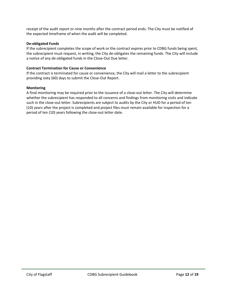receipt of the audit report or nine months after the contract period ends. The City must be notified of the expected timeframe of when the audit will be completed.

#### **De-obligated Funds**

If the subrecipient completes the scope of work or the contract expires prior to CDBG funds being spent, the subrecipient must request, in writing, the City de-obligates the remaining funds. The City will include a notice of any de-obligated funds in the Close-Out Due letter.

#### **Contract Termination for Cause or Convenience**

If the contract is terminated for cause or convenience, the City will mail a letter to the subrecipient providing sixty (60) days to submit the Close-Out Report.

#### **Monitoring**

A final monitoring may be required prior to the issuance of a close-out letter. The City will determine whether the subrecipient has responded to all concerns and findings from monitoring visits and indicate such in the close-out letter. Subrecipients are subject to audits by the City or HUD for a period of ten (10) years after the project is completed and project files must remain available for inspection for a period of ten (10) years following the close-out letter date.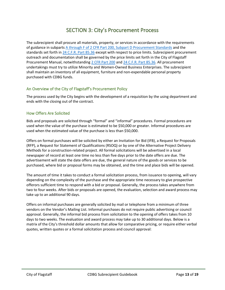# SECTION 3: City's Procurement Process

<span id="page-12-0"></span>The subrecipient shall procure all materials, property, or services in accordance with the requirements of guidance in subpart[s A through F of 2 CFR Part 200, Subpart D Procurement Standards](https://www.ecfr.gov/current/title-2/subtitle-A/chapter-II/part-200?toc=1) and the standards set forth in [24 C.F.R. Part 85.36](https://www.govinfo.gov/app/details/CFR-2011-title24-vol1/CFR-2011-title24-vol1-sec85-36/context) except with respect to price limits. Subrecipient procurement outreach and documentation shall be governed by the price limits set forth in the City of Flagstaff Procurement Manual, notwithstandin[g 2 CFR Part 200](https://www.ecfr.gov/current/title-2/subtitle-A/chapter-II/part-200?toc=1) an[d 24 C.F.R. Part 85.36.](https://www.govinfo.gov/app/details/CFR-2011-title24-vol1/CFR-2011-title24-vol1-sec85-36/context) All procurement undertakings must try to utilize Minority and Women-Owned Business Enterprises. The subrecipient shall maintain an inventory of all equipment, furniture and non-expendable personal property purchased with CDBG funds.

## <span id="page-12-1"></span>An Overview of the City of Flagstaff's Procurement Policy

The process used by the City begins with the development of a requisition by the using department and ends with the closing out of the contract.

## <span id="page-12-2"></span>How Offers Are Solicited

Bids and proposals are solicited through "formal" and "informal" procedures. Formal procedures are used when the value of the purchase is estimated to be \$50,000 or greater. Informal procedures are used when the estimated value of the purchase is less than \$50,000.

Offers on formal purchases will be solicited by either an Invitation for Bid (IFB), a Request for Proposals (RFP), a Request for Statement of Qualifications (RSOQ) or by one of the Alternative Project Delivery Methods for a construction-related project. All formal solicitations will be advertised in a local newspaper of record at least one time no less than five days prior to the date offers are due. The advertisement will state the date offers are due, the general nature of the goods or services to be purchased, where bid or proposal forms may be obtained, and the time and place bids will be opened.

The amount of time it takes to conduct a formal solicitation process, from issuance to opening, will vary depending on the complexity of the purchase and the appropriate time necessary to give prospective offerors sufficient time to respond with a bid or proposal. Generally, the process takes anywhere from two to four weeks. After bids or proposals are opened, the evaluation, selection and award process may take up to an additional 90 days.

Offers on informal purchases are generally solicited by mail or telephone from a minimum of three vendors on the Vendor's Mailing List. Informal purchases do not require public advertising or council approval. Generally, the informal bid process from solicitation to the opening of offers takes from 10 days to two weeks. The evaluation and award process may take up to 30 additional days. Below is a matrix of the City's threshold dollar amounts that allow for comparative pricing, or require either verbal quotes, written quotes or a formal solicitation process and council approval: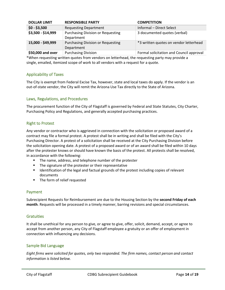| <b>DOLLAR LIMIT</b> | <b>RESPONSIBLE PARTY</b>                               | <b>COMPETITION</b>                       |
|---------------------|--------------------------------------------------------|------------------------------------------|
| $$0 - $3,500$       | <b>Requesting Department</b>                           | Informal - Direct Select                 |
| \$3,500 - \$14,999  | <b>Purchasing Division or Requesting</b><br>Department | 3 documented quotes (verbal)             |
| 15,000 - \$49,999   | <b>Purchasing Division or Requesting</b><br>Department | *3 written quotes on vendor letterhead   |
| \$50,000 and over   | <b>Purchasing Division</b>                             | Formal solicitation and Council approval |

\*When requesting written quotes from vendors on letterhead, the requesting party may provide a single, emailed, itemized scope of work to all vendors with a request for a quote.

## <span id="page-13-0"></span>Applicability of Taxes

The City is exempt from Federal Excise Tax, however, state and local taxes do apply. If the vendor is an out-of-state vendor, the City will remit the Arizona Use Tax directly to the State of Arizona.

#### <span id="page-13-1"></span>Laws, Regulations, and Procedures

The procurement function of the City of Flagstaff is governed by Federal and State Statutes, City Charter, Purchasing Policy and Regulations, and generally accepted purchasing practices.

#### <span id="page-13-2"></span>Right to Protest

Any vendor or contractor who is aggrieved in connection with the solicitation or proposed award of a contract may file a formal protest. A protest shall be in writing and shall be filed with the City's Purchasing Director. A protest of a solicitation shall be received at the City Purchasing Division before the solicitation opening date. A protest of a proposed award or of an award shall be filed within 10 days after the protester knows or should have known the basis of the protest. All protests shall be resolved, in accordance with the following:

- The name, address, and telephone number of the protester
- The signature of the protester or their representative
- Identification of the legal and factual grounds of the protest including copies of relevant documents
- The form of relief requested

#### <span id="page-13-3"></span>Payment

Subrecipient Requests for Reimbursement are due to the Housing Section by the **second Friday of each month**. Requests will be processed in a timely manner, barring revisions and special circumstances.

#### <span id="page-13-4"></span>**Gratuities**

It shall be unethical for any person to give, or agree to give, offer, solicit, demand, accept, or agree to accept from another person, any City of Flagstaff employee a gratuity or an offer of employment in connection with influencing any decisions.

## <span id="page-13-5"></span>Sample Bid Language

*Eight firms were solicited for quotes, only two responded. The firm names, contact person and contact information is listed below.*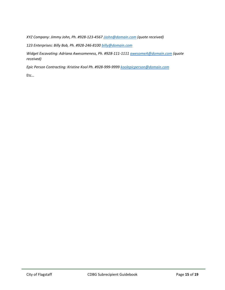*XYZ Company: Jimmy John, Ph. #928-123-456[7 JJohn@domain.com](mailto:JJohn@domain.com) (quote received)*

*123 Enterprises: Billy Bob, Ph. #928-246-810[0 billy@domain.com](mailto:billy@domain.com)*

*Widget Excavating: Adriana Awesomeness, Ph. #928-111-1111 [awesomeA@domain.com](mailto:awesomeA@domain.com) (quote received)*

*Epic Person Contracting: Kristine Kool Ph. #928-999-9999 [koolepicperson@domain.com](mailto:koolepicperson@domain.com)*

Etc…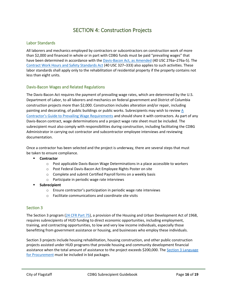# SECTION 4: Construction Projects

#### <span id="page-15-1"></span><span id="page-15-0"></span>Labor Standards

All laborers and mechanics employed by contractors or subcontractors on construction work of more than \$2,000 and financed in whole or in part with CDBG funds must be paid "prevailing wages" that have been determined in accordance with the [Davis-Bacon Act, as Amended](https://www.dol.gov/agencies/whd/laws-and-regulations/laws/dbra) (40 USC 276a-276a-5). The [Contract Work Hours and Safety Standards Act](https://www.law.cornell.edu/uscode/text/40/subtitle-II/part-A/chapter-37) (40 USC 327–333) also applies to such activities. These labor standards shall apply only to the rehabilitation of residential property if the property contains not less than eight units.

#### <span id="page-15-2"></span>Davis-Bacon Wages and Related Regulations

The Davis-Bacon Act requires the payment of prevailing wage rates, which are determined by the U.S. Department of Labor, to all laborers and mechanics on federal government and District of Columbia construction projects more than \$2,000. Construction includes alteration and/or repair, including painting and decorating, of public buildings or public works. Subrecipients may wish to review  $\underline{A}$ Contractor'[s Guide to Prevailing Wage Requirements](https://www.hud.gov/sites/documents/4812-LRGUIDE.PDF) and should share it with contractors. As part of any Davis-Bacon contract, wage determinations and a project wage rate sheet must be included. The subrecipient must also comply with responsibilities during construction, including facilitating the CDBG Administrator in carrying out contractor and subcontractor employee interviews and reviewing documentation.

Once a contractor has been selected and the project is underway, there are several steps that must be taken to ensure compliance.

- **Contractor**
	- o Post applicable Davis-Bacon Wage Determinations in a place accessible to workers
	- o Post Federal Davis-Bacon Act Employee Rights Poster on site
	- o Complete and submit Certified Payroll forms on a weekly basis
	- o Participate in periodic wage rate interviews
- **Subrecipient**
	- o Ensure contractor's participation in periodic wage rate interviews
	- o Facilitate communications and coordinate site visits

#### <span id="page-15-3"></span>Section 3

The Section 3 program [\(24 CFR Part 75\)](https://www.ecfr.gov/current/title-24/subtitle-A/part-75), a provision of the Housing and Urban Development Act of 1968, requires subrecipients of HUD funding to direct economic opportunities, including employment, training, and contracting opportunities, to low and very low income individuals, especially those benefitting from government assistance or housing, and businesses who employ these individuals.

Section 3 projects include housing rehabilitation, housing construction, and other public construction projects assisted under HUD programs that provide housing and community development financial assistance when the total amount of assistance to the project exceeds \$200,000. The [Section 3 Language](https://www.law.cornell.edu/cfr/text/24/135.38)  for [Procurement](https://www.law.cornell.edu/cfr/text/24/135.38) must be included in bid packages.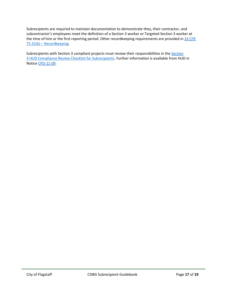Subrecipients are required to maintain documentation to demonstrate they, their contractor, and subcontractor's employees meet the definition of a Section 3 worker or Targeted Section 3 worker at the time of hire or the first reporting period. Other recordkeeping requirements are provided in 24 CFR 75.31(b) – [Recordkeeping.](https://www.ecfr.gov/current/title-24/subtitle-A/part-75#p-75.31(b))

Subrecipients with [Section](https://www.hudexchange.info/programs/section-3/section-3-guidebook/program-specific-application/compliance-reviews/) 3 compliant projects must review their responsibilities in the Section [3 HUD Compliance Review Checklist for Subrecipients.](https://www.hudexchange.info/programs/section-3/section-3-guidebook/program-specific-application/compliance-reviews/) Further information is available from HUD in Notic[e CPD-21-09.](https://www.hud.gov/sites/dfiles/OCHCO/documents/2021-09cpdn.pdf)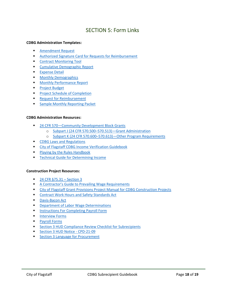# SECTION 5: Form Links

#### <span id="page-17-0"></span>**CDBG Administration Templates:**

- [Amendment Request](https://www.flagstaff.az.gov/4724/Subrecipient-Toolkit)
- [Authorized Signature Card for Requests for Reimbursement](https://www.flagstaff.az.gov/4724/Subrecipient-Toolkit)
- [Contract Monitoring Tool](https://www.flagstaff.az.gov/4724/Subrecipient-Toolkit)
- [Cumulative Demographic Report](https://www.flagstaff.az.gov/4724/Subrecipient-Toolkit)
- **■** [Expense Detail](https://www.flagstaff.az.gov/4724/Subrecipient-Toolkit)
- [Monthly Demographics](https://www.flagstaff.az.gov/4724/Subrecipient-Toolkit)
- [Monthly Performance Report](https://www.flagstaff.az.gov/4724/Subrecipient-Toolkit)
- [Project Budget](https://www.flagstaff.az.gov/4724/Subrecipient-Toolkit)
- **[Project Schedule](https://www.flagstaff.az.gov/4724/Subrecipient-Toolkit) of Completion**
- [Request for Reimbursement](https://www.flagstaff.az.gov/4724/Subrecipient-Toolkit)
- [Sample Monthly Reporting Packet](https://www.flagstaff.az.gov/4724/Subrecipient-Toolkit)

#### **CDBG Administration Resources:**

- 24 CFR 570–[Community Development Block Grants](https://www.ecfr.gov/cgi-bin/retrieveECFR?gp=&SID=1a1bc3cd26711f951faf911424a45998&mc=true&n=pt24.3.570&r=PART&ty=HTML)
	- o [Subpart J \(24 CFR 570.500](https://www.ecfr.gov/current/title-24/subtitle-B/chapter-V/subchapter-C/part-570/subpart-J)–570.513)—Grant Administration
	- o Subpart K (24 CFR 570.600–570.613)—[Other Program Requirements](https://www.ecfr.gov/current/title-24/part-570/subpart-K)
- [CDBG Laws and Regulations](https://www.hudexchange.info/programs/cdbg/cdbg-laws-and-regulations/)
- [City of Flagstaff CDBG Income Verification Guidebook](https://www.flagstaff.az.gov/4724/Subrecipient-Toolkit)
- **Playing by the Rules Handbook**
- [Technical Guide for Determining Income](https://files.hudexchange.info/resources/documents/HOMEGuideForIncomeAndAllowances.pdf)

#### **Construction Project Resources:**

- [24 CFR §75.31](https://www.law.cornell.edu/cfr/text/24/75.31) Section 3
- **EXECO** A Contractor's Guide to Prevailing Wage Requirements
- [City of Flagstaff Grant Provisions Project Manual for CDBG Construction Projects](https://www.flagstaff.az.gov/4724/Subrecipient-Toolkit)
- [Contract Work Hours and Safety Standards Act](https://www.law.cornell.edu/uscode/text/40/subtitle-II/part-A/chapter-37)
- [Davis-Bacon Act](https://www.ecfr.gov/current/title-29/subtitle-A/part-5)
- **Example 2** [Department of Labor Wage Determinations](https://sam.gov/content/wage-determinations)
- **Ending The [Instructions For Completing Payroll Form](https://www.dol.gov/agencies/whd/forms/wh347)**
- [Interview Forms](https://www.hud.gov/program_offices/davis_bacon_and_labor_standards/olrform)
- [Payroll Forms](https://www.dol.gov/sites/dolgov/files/WHD/legacy/files/wh347.pdf)
- [Section 3 HUD Compliance Review Checklist for Subrecipients](https://www.hudexchange.info/programs/section-3/section-3-guidebook/program-specific-application/compliance-reviews/)
- [Section 3 HUD Notice -](https://www.hud.gov/sites/dfiles/OCHCO/documents/2021-09cpdn.pdf) CPD-21-09
- **Exection 3 Language for Procurement**